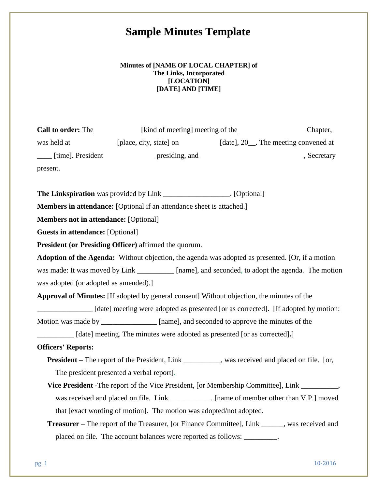# **Sample Minutes Template**

## **Minutes of [NAME OF LOCAL CHAPTER] of The Links, Incorporated [LOCATION] [DATE] AND [TIME]**

|                                                                                                       | was held at _____________ [place, city, state] on _____________[date], 20__. The meeting convened at |  |  |
|-------------------------------------------------------------------------------------------------------|------------------------------------------------------------------------------------------------------|--|--|
|                                                                                                       | ____ [time]. President__________________ presiding, and_________________________________, Secretary  |  |  |
| present.                                                                                              |                                                                                                      |  |  |
|                                                                                                       | The Linkspiration was provided by Link __________________. [Optional]                                |  |  |
| <b>Members in attendance:</b> [Optional if an attendance sheet is attached.]                          |                                                                                                      |  |  |
| <b>Members not in attendance:</b> [Optional]                                                          |                                                                                                      |  |  |
| <b>Guests in attendance:</b> [Optional]                                                               |                                                                                                      |  |  |
| President (or Presiding Officer) affirmed the quorum.                                                 |                                                                                                      |  |  |
| Adoption of the Agenda: Without objection, the agenda was adopted as presented. [Or, if a motion      |                                                                                                      |  |  |
| was made: It was moved by Link _________ [name], and seconded, to adopt the agenda. The motion        |                                                                                                      |  |  |
| was adopted (or adopted as amended).]                                                                 |                                                                                                      |  |  |
| Approval of Minutes: [If adopted by general consent] Without objection, the minutes of the            |                                                                                                      |  |  |
| _______________ [date] meeting were adopted as presented [or as corrected]. [If adopted by motion:    |                                                                                                      |  |  |
|                                                                                                       | Motion was made by _______________ [name], and seconded to approve the minutes of the                |  |  |
| [date] meeting. The minutes were adopted as presented [or as corrected].]                             |                                                                                                      |  |  |
| <b>Officers' Reports:</b>                                                                             |                                                                                                      |  |  |
|                                                                                                       | President - The report of the President, Link ________, was received and placed on file. [or,        |  |  |
|                                                                                                       | The president presented a verbal report].                                                            |  |  |
| Vice President - The report of the Vice President, [or Membership Committee], Link ___________,       |                                                                                                      |  |  |
|                                                                                                       | was received and placed on file. Link ____________. [name of member other than V.P.] moved           |  |  |
| that [exact wording of motion]. The motion was adopted/not adopted.                                   |                                                                                                      |  |  |
| <b>Treasurer</b> – The report of the Treasurer, [or Finance Committee], Link ______, was received and |                                                                                                      |  |  |
|                                                                                                       | placed on file. The account balances were reported as follows: _________.                            |  |  |